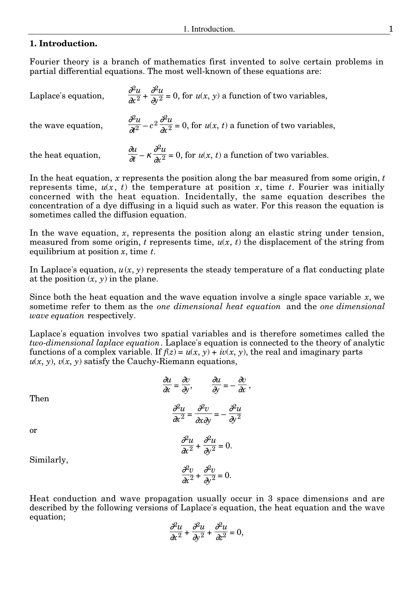## **1. Introduction.**

Fourier theory is a branch of mathematics first invented to solve certain problems in partial differential equations. The most well-known of these equations are:

| Laplace's equation, | $\frac{\partial^2 u}{\partial x^2} + \frac{\partial^2 u}{\partial y^2} = 0$ , for $u(x, y)$ a function of two variables,                        |
|---------------------|-------------------------------------------------------------------------------------------------------------------------------------------------|
|                     | the wave equation, $\frac{\partial^2 u}{\partial t^2} - c^2 \frac{\partial^2 u}{\partial x^2} = 0$ , for $u(x, t)$ a function of two variables, |
| the heat equation,  | $\frac{\partial u}{\partial t} - \kappa \frac{\partial^2 u}{\partial x^2} = 0$ , for $u(x, t)$ a function of two variables.                     |

In the heat equation, *x* represents the position along the bar measured from some origin, *t* represents time,  $u(x, t)$  the temperature at position x, time t. Fourier was initially concerned with the heat equation. Incidentally, the same equation describes the concentration of a dye diffusing in a liquid such as water. For this reason the equation is sometimes called the diffusion equation.

In the wave equation, *x*, represents the position along an elastic string under tension, measured from some origin,  $t$  represents time,  $u(x, t)$  the displacement of the string from equilibrium at position *x*, time *t*.

In Laplace's equation,  $u(x, y)$  represents the steady temperature of a flat conducting plate at the position  $(x, y)$  in the plane.

Since both the heat equation and the wave equation involve a single space variable *x*, we sometime refer to them as the *one dimensional heat equation* and the *one dimensional wave equation* respectively.

Laplace's equation involves two spatial variables and is therefore sometimes called the *two-dimensional laplace equation*. Laplace's equation is connected to the theory of analytic functions of a complex variable. If  $f(z) = u(x, y) + iv(x, y)$ , the real and imaginary parts  $u(x, y)$ ,  $v(x, y)$  satisfy the Cauchy-Riemann equations,

$$
\frac{\partial u}{\partial x} = \frac{\partial v}{\partial y}, \qquad \frac{\partial u}{\partial y} = -\frac{\partial v}{\partial x},
$$

$$
\frac{\partial^2 u}{\partial x^2} = \frac{\partial^2 v}{\partial x \partial y} = -\frac{\partial^2 u}{\partial y^2}
$$

$$
\frac{\partial^2 u}{\partial x^2} = \frac{\partial^2 u}{\partial y^2} = 0
$$

or

Then

$$
\frac{\partial^2 u}{\partial x^2} + \frac{\partial^2 u}{\partial y^2} = 0.
$$

Similarly,

<sup>∂</sup>2*v*  $\frac{\delta}{\partial x^2}$  + <sup>∂</sup>2*v*  $rac{\delta}{\partial y^2} = 0.$ 

Heat conduction and wave propagation usually occur in 3 space dimensions and are described by the following versions of Laplace's equation, the heat equation and the wave equation;

$$
\frac{\partial^2 u}{\partial x^2} + \frac{\partial^2 u}{\partial y^2} + \frac{\partial^2 u}{\partial z^2} = 0,
$$